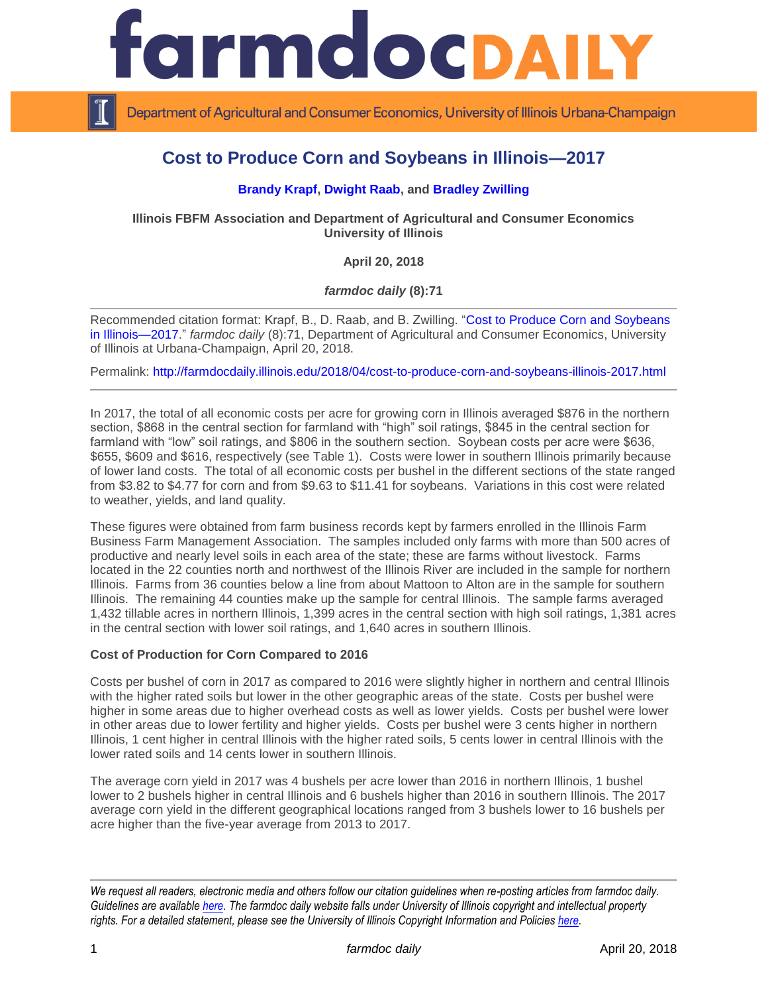

Department of Agricultural and Consumer Economics, University of Illinois Urbana-Champaign

# **Cost to Produce Corn and Soybeans in Illinois—2017**

# **[Brandy Krapf, Dwight Raab,](http://fbfm.org/directory.asp) and [Bradley Zwilling](http://fbfm.org/directory.asp)**

**Illinois FBFM Association and Department of Agricultural and Consumer Economics University of Illinois**

**April 20, 2018**

*farmdoc daily* **(8):71**

Recommended citation format: Krapf, B., D. Raab, and B. Zwilling. ["Cost to Produce Corn and Soybeans](http://farmdocdaily.illinois.edu/2018/04/cost-to-produce-corn-and-soybeans-illinois-2017.html)  [in Illinois—2017.](http://farmdocdaily.illinois.edu/2018/04/cost-to-produce-corn-and-soybeans-illinois-2017.html)" *farmdoc daily* (8):71, Department of Agricultural and Consumer Economics, University of Illinois at Urbana-Champaign, April 20, 2018.

Permalink:<http://farmdocdaily.illinois.edu/2018/04/cost-to-produce-corn-and-soybeans-illinois-2017.html>

In 2017, the total of all economic costs per acre for growing corn in Illinois averaged \$876 in the northern section, \$868 in the central section for farmland with "high" soil ratings, \$845 in the central section for farmland with "low" soil ratings, and \$806 in the southern section. Soybean costs per acre were \$636, \$655, \$609 and \$616, respectively (see Table 1). Costs were lower in southern Illinois primarily because of lower land costs. The total of all economic costs per bushel in the different sections of the state ranged from \$3.82 to \$4.77 for corn and from \$9.63 to \$11.41 for soybeans. Variations in this cost were related to weather, yields, and land quality.

These figures were obtained from farm business records kept by farmers enrolled in the Illinois Farm Business Farm Management Association. The samples included only farms with more than 500 acres of productive and nearly level soils in each area of the state; these are farms without livestock. Farms located in the 22 counties north and northwest of the Illinois River are included in the sample for northern Illinois. Farms from 36 counties below a line from about Mattoon to Alton are in the sample for southern Illinois. The remaining 44 counties make up the sample for central Illinois. The sample farms averaged 1,432 tillable acres in northern Illinois, 1,399 acres in the central section with high soil ratings, 1,381 acres in the central section with lower soil ratings, and 1,640 acres in southern Illinois.

#### **Cost of Production for Corn Compared to 2016**

Costs per bushel of corn in 2017 as compared to 2016 were slightly higher in northern and central Illinois with the higher rated soils but lower in the other geographic areas of the state. Costs per bushel were higher in some areas due to higher overhead costs as well as lower yields. Costs per bushel were lower in other areas due to lower fertility and higher yields. Costs per bushel were 3 cents higher in northern Illinois, 1 cent higher in central Illinois with the higher rated soils, 5 cents lower in central Illinois with the lower rated soils and 14 cents lower in southern Illinois.

The average corn yield in 2017 was 4 bushels per acre lower than 2016 in northern Illinois, 1 bushel lower to 2 bushels higher in central Illinois and 6 bushels higher than 2016 in southern Illinois. The 2017 average corn yield in the different geographical locations ranged from 3 bushels lower to 16 bushels per acre higher than the five-year average from 2013 to 2017.

*We request all readers, electronic media and others follow our citation guidelines when re-posting articles from farmdoc daily. Guidelines are available [here.](http://farmdocdaily.illinois.edu/citationguide.html) The farmdoc daily website falls under University of Illinois copyright and intellectual property rights. For a detailed statement, please see the University of Illinois Copyright Information and Policies [here.](http://www.cio.illinois.edu/policies/copyright/)*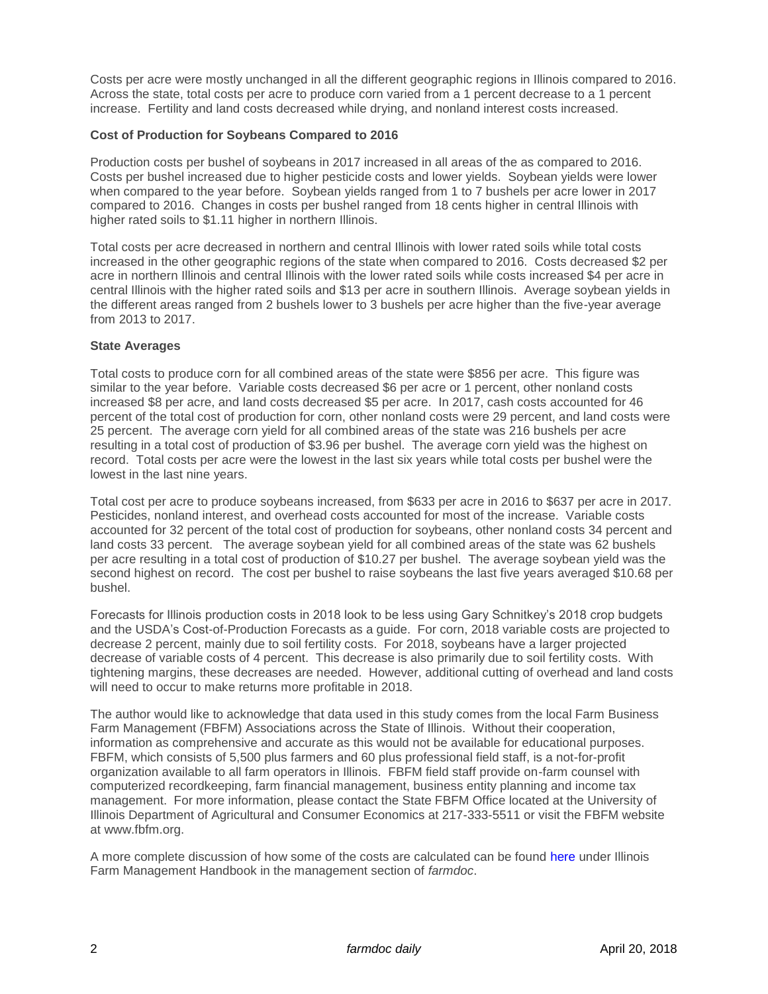Costs per acre were mostly unchanged in all the different geographic regions in Illinois compared to 2016. Across the state, total costs per acre to produce corn varied from a 1 percent decrease to a 1 percent increase. Fertility and land costs decreased while drying, and nonland interest costs increased.

## **Cost of Production for Soybeans Compared to 2016**

Production costs per bushel of soybeans in 2017 increased in all areas of the as compared to 2016. Costs per bushel increased due to higher pesticide costs and lower yields. Soybean yields were lower when compared to the year before. Soybean yields ranged from 1 to 7 bushels per acre lower in 2017 compared to 2016. Changes in costs per bushel ranged from 18 cents higher in central Illinois with higher rated soils to \$1.11 higher in northern Illinois.

Total costs per acre decreased in northern and central Illinois with lower rated soils while total costs increased in the other geographic regions of the state when compared to 2016. Costs decreased \$2 per acre in northern Illinois and central Illinois with the lower rated soils while costs increased \$4 per acre in central Illinois with the higher rated soils and \$13 per acre in southern Illinois. Average soybean yields in the different areas ranged from 2 bushels lower to 3 bushels per acre higher than the five-year average from 2013 to 2017.

#### **State Averages**

Total costs to produce corn for all combined areas of the state were \$856 per acre. This figure was similar to the year before. Variable costs decreased \$6 per acre or 1 percent, other nonland costs increased \$8 per acre, and land costs decreased \$5 per acre. In 2017, cash costs accounted for 46 percent of the total cost of production for corn, other nonland costs were 29 percent, and land costs were 25 percent. The average corn yield for all combined areas of the state was 216 bushels per acre resulting in a total cost of production of \$3.96 per bushel. The average corn yield was the highest on record. Total costs per acre were the lowest in the last six years while total costs per bushel were the lowest in the last nine years.

Total cost per acre to produce soybeans increased, from \$633 per acre in 2016 to \$637 per acre in 2017. Pesticides, nonland interest, and overhead costs accounted for most of the increase. Variable costs accounted for 32 percent of the total cost of production for soybeans, other nonland costs 34 percent and land costs 33 percent. The average soybean yield for all combined areas of the state was 62 bushels per acre resulting in a total cost of production of \$10.27 per bushel. The average soybean yield was the second highest on record. The cost per bushel to raise soybeans the last five years averaged \$10.68 per bushel.

Forecasts for Illinois production costs in 2018 look to be less using Gary Schnitkey's 2018 crop budgets and the USDA's Cost-of-Production Forecasts as a guide. For corn, 2018 variable costs are projected to decrease 2 percent, mainly due to soil fertility costs. For 2018, soybeans have a larger projected decrease of variable costs of 4 percent. This decrease is also primarily due to soil fertility costs. With tightening margins, these decreases are needed. However, additional cutting of overhead and land costs will need to occur to make returns more profitable in 2018.

The author would like to acknowledge that data used in this study comes from the local Farm Business Farm Management (FBFM) Associations across the State of Illinois. Without their cooperation, information as comprehensive and accurate as this would not be available for educational purposes. FBFM, which consists of 5,500 plus farmers and 60 plus professional field staff, is a not-for-profit organization available to all farm operators in Illinois. FBFM field staff provide on-farm counsel with computerized recordkeeping, farm financial management, business entity planning and income tax management. For more information, please contact the State FBFM Office located at the University of Illinois Department of Agricultural and Consumer Economics at 217-333-5511 or visit the FBFM website at www.fbfm.org.

A more complete discussion of how some of the costs are calculated can be found [here](http://farmdoc.illinois.edu/manage/corn_soybeans_costs.pdf) under Illinois Farm Management Handbook in the management section of *farmdoc*.